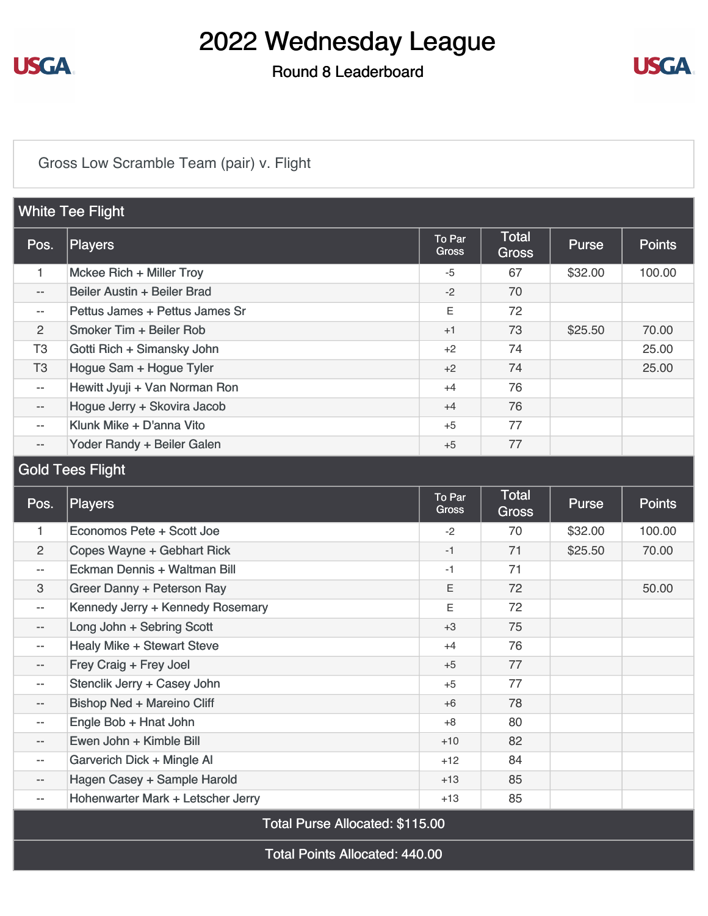

#### Round 8 Leaderboard



### [Gross Low Scramble Team \(pair\) v. Flight](https://static.golfgenius.com/v2tournaments/8505838256573668250?called_from=&round_index=8)

| <b>White Tee Flight</b>         |                                   |                        |                              |              |               |
|---------------------------------|-----------------------------------|------------------------|------------------------------|--------------|---------------|
| Pos.                            | <b>Players</b>                    | To Par<br><b>Gross</b> | <b>Total</b><br><b>Gross</b> | <b>Purse</b> | <b>Points</b> |
| 1                               | Mckee Rich + Miller Troy          | $-5$                   | 67                           | \$32.00      | 100.00        |
| --                              | Beiler Austin + Beiler Brad       | $-2$                   | 70                           |              |               |
| --                              | Pettus James + Pettus James Sr    | Ε                      | 72                           |              |               |
| $\overline{2}$                  | Smoker Tim + Beiler Rob           | $+1$                   | 73                           | \$25.50      | 70.00         |
| T <sub>3</sub>                  | Gotti Rich + Simansky John        | $+2$                   | 74                           |              | 25.00         |
| T <sub>3</sub>                  | Hogue Sam + Hogue Tyler           | $+2$                   | 74                           |              | 25.00         |
| $-\,-$                          | Hewitt Jyuji + Van Norman Ron     | $+4$                   | 76                           |              |               |
| --                              | Hogue Jerry + Skovira Jacob       | $+4$                   | 76                           |              |               |
| --                              | Klunk Mike + D'anna Vito          | $+5$                   | 77                           |              |               |
| --                              | Yoder Randy + Beiler Galen        | $+5$                   | 77                           |              |               |
| <b>Gold Tees Flight</b>         |                                   |                        |                              |              |               |
| Pos.                            | <b>Players</b>                    | To Par<br>Gross        | <b>Total</b><br><b>Gross</b> | <b>Purse</b> | <b>Points</b> |
| 1                               | Economos Pete + Scott Joe         | -2                     | 70                           | \$32.00      | 100.00        |
| $\overline{2}$                  | Copes Wayne + Gebhart Rick        | $-1$                   | 71                           | \$25.50      | 70.00         |
| --                              | Eckman Dennis + Waltman Bill      | -1                     | 71                           |              |               |
| 3                               | Greer Danny + Peterson Ray        | E                      | 72                           |              | 50.00         |
| --                              | Kennedy Jerry + Kennedy Rosemary  | E                      | 72                           |              |               |
| --                              | Long John + Sebring Scott         | $+3$                   | 75                           |              |               |
| --                              | <b>Healy Mike + Stewart Steve</b> | $+4$                   | 76                           |              |               |
| --                              | Frey Craig + Frey Joel            | $+5$                   | 77                           |              |               |
| --                              | Stenclik Jerry + Casey John       | $+5$                   | 77                           |              |               |
| --                              | <b>Bishop Ned + Mareino Cliff</b> | $+6$                   | 78                           |              |               |
| --                              | Engle Bob + Hnat John             | $+8$                   | 80                           |              |               |
| --                              | Ewen John + Kimble Bill           | $+10$                  | 82                           |              |               |
| --                              | Garverich Dick + Mingle Al        | $+12$                  | 84                           |              |               |
| --                              | Hagen Casey + Sample Harold       | $+13$                  | 85                           |              |               |
| --                              | Hohenwarter Mark + Letscher Jerry | $+13$                  | 85                           |              |               |
| Total Purse Allocated: \$115.00 |                                   |                        |                              |              |               |

Total Points Allocated: 440.00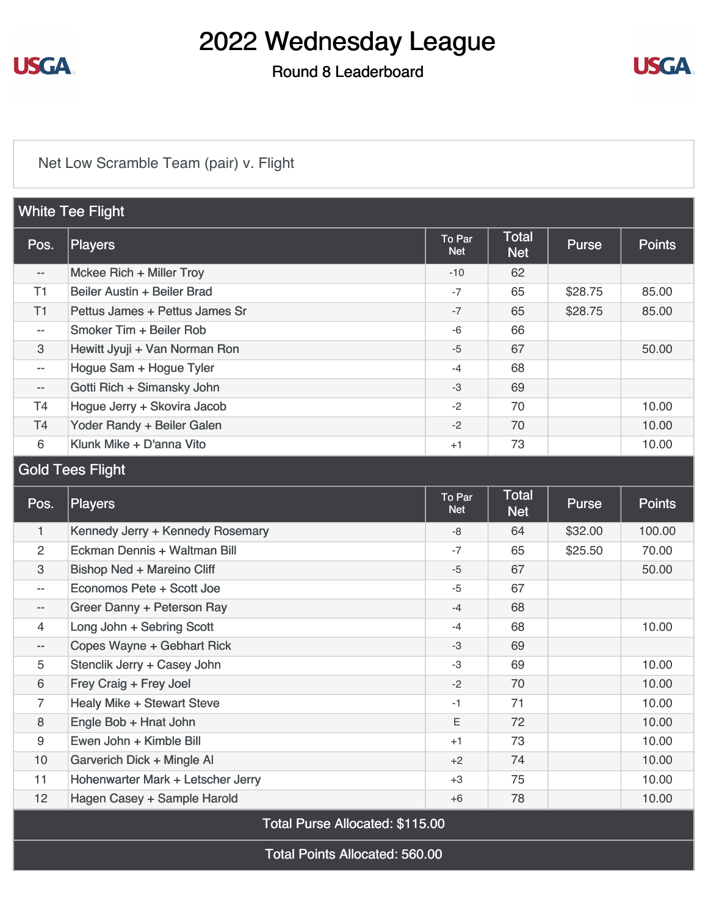

#### Round 8 Leaderboard



### [Net Low Scramble Team \(pair\) v. Flight](https://static.golfgenius.com/v2tournaments/8505838268116392859?called_from=&round_index=8)

| <b>White Tee Flight</b>  |                                |                      |                            |              |               |
|--------------------------|--------------------------------|----------------------|----------------------------|--------------|---------------|
| Pos.                     | Players                        | To Par<br><b>Net</b> | <b>Total</b><br><b>Net</b> | <b>Purse</b> | <b>Points</b> |
| $- -$                    | Mckee Rich + Miller Troy       | $-10$                | 62                         |              |               |
| T1                       | Beiler Austin + Beiler Brad    | $-7$                 | 65                         | \$28.75      | 85.00         |
| T1                       | Pettus James + Pettus James Sr | $-7$                 | 65                         | \$28.75      | 85.00         |
| $- -$                    | Smoker Tim + Beiler Rob        | $-6$                 | 66                         |              |               |
| 3                        | Hewitt Jyuji + Van Norman Ron  | $-5$                 | 67                         |              | 50.00         |
| $- -$                    | Hogue Sam + Hogue Tyler        | $-4$                 | 68                         |              |               |
| $\overline{\phantom{m}}$ | Gotti Rich + Simansky John     | $-3$                 | 69                         |              |               |
| <b>T4</b>                | Hogue Jerry + Skovira Jacob    | $-2$                 | 70                         |              | 10.00         |
| T4                       | Yoder Randy + Beiler Galen     | $-2$                 | 70                         |              | 10.00         |
| 6                        | Klunk Mike + D'anna Vito       | $+1$                 | 73                         |              | 10.00         |
| Cold Tope Elight         |                                |                      |                            |              |               |

#### Gold Tees Flight

| Pos.                     | Players                           | To Par<br><b>Net</b> | <b>Total</b><br><b>Net</b> | <b>Purse</b> | <b>Points</b> |
|--------------------------|-----------------------------------|----------------------|----------------------------|--------------|---------------|
| 1                        | Kennedy Jerry + Kennedy Rosemary  | -8                   | 64                         | \$32.00      | 100.00        |
| 2                        | Eckman Dennis + Waltman Bill      | $-7$                 | 65                         | \$25.50      | 70.00         |
| 3                        | <b>Bishop Ned + Mareino Cliff</b> | $-5$                 | 67                         |              | 50.00         |
| $\overline{\phantom{a}}$ | Economos Pete + Scott Joe         | $-5$                 | 67                         |              |               |
| $- -$                    | Greer Danny + Peterson Ray        | $-4$                 | 68                         |              |               |
| 4                        | Long John + Sebring Scott         | $-4$                 | 68                         |              | 10.00         |
| $\qquad \qquad -$        | Copes Wayne + Gebhart Rick        | $-3$                 | 69                         |              |               |
| 5                        | Stenclik Jerry + Casey John       | $-3$                 | 69                         |              | 10.00         |
| 6                        | Frey Craig + Frey Joel            | $-2$                 | 70                         |              | 10.00         |
| 7                        | <b>Healy Mike + Stewart Steve</b> | $-1$                 | 71                         |              | 10.00         |
| 8                        | Engle Bob + Hnat John             | Ε                    | 72                         |              | 10.00         |
| 9                        | Ewen John + Kimble Bill           | $+1$                 | 73                         |              | 10.00         |
| 10                       | Garverich Dick + Mingle Al        | $+2$                 | 74                         |              | 10.00         |
| 11                       | Hohenwarter Mark + Letscher Jerry | $+3$                 | 75                         |              | 10.00         |
| 12 <sup>2</sup>          | Hagen Casey + Sample Harold       | $+6$                 | 78                         |              | 10.00         |

Total Purse Allocated: \$115.00

Total Points Allocated: 560.00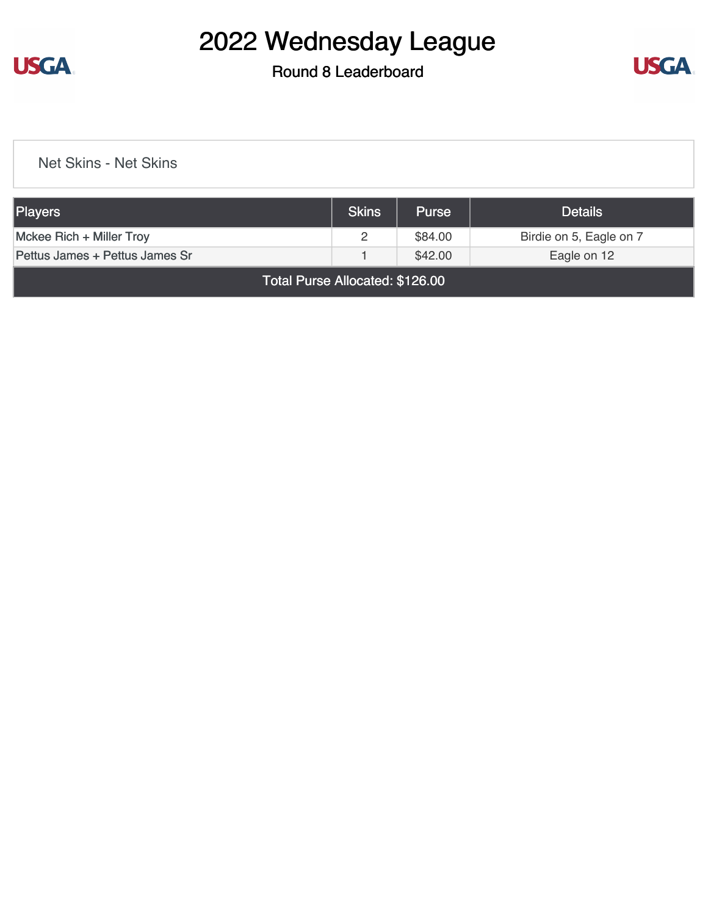

#### Round 8 Leaderboard



[Net Skins - Net Skins](https://static.golfgenius.com/v2tournaments/8507978929779268580?called_from=&round_index=8)

| Players                        | <b>Skins</b> | <b>Purse</b> | <b>Details</b>          |
|--------------------------------|--------------|--------------|-------------------------|
| $Mckee Rich + Miller Troy$     |              | \$84.00      | Birdie on 5, Eagle on 7 |
| Pettus James + Pettus James Sr |              | \$42.00      | Eagle on 12             |

Total Purse Allocated: \$126.00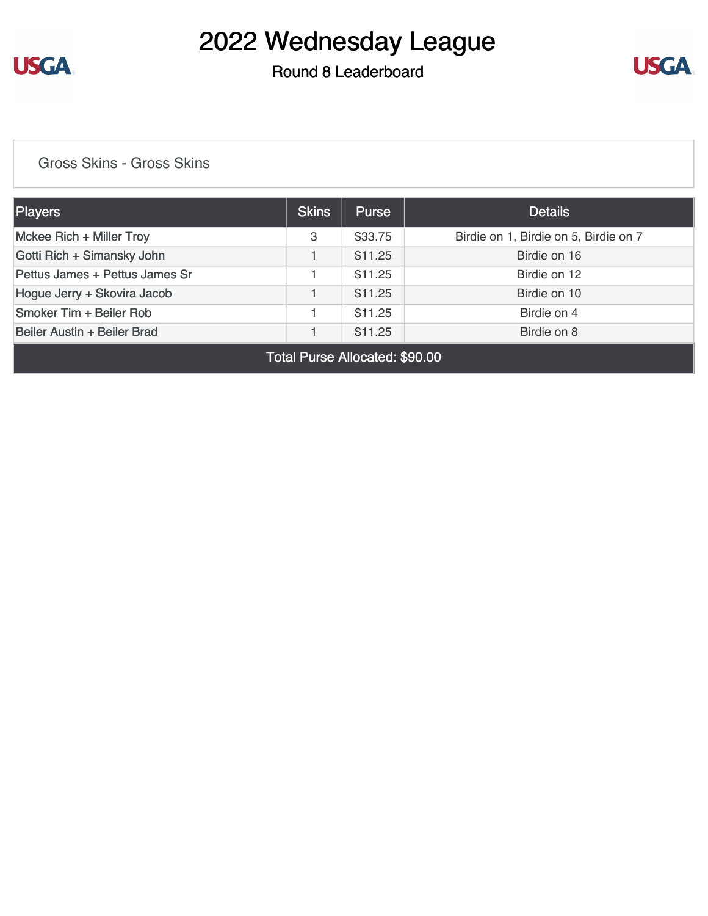

### Round 8 Leaderboard



#### [Gross Skins - Gross Skins](https://static.golfgenius.com/v2tournaments/8507979914736065509?called_from=&round_index=8)

| Players                        | <b>Skins</b> | <b>Purse</b> | <b>Details</b>                        |
|--------------------------------|--------------|--------------|---------------------------------------|
| Mckee Rich + Miller Troy       | 3            | \$33.75      | Birdie on 1, Birdie on 5, Birdie on 7 |
| Gotti Rich + Simansky John     |              | \$11.25      | Birdie on 16                          |
| Pettus James + Pettus James Sr |              | \$11.25      | Birdie on 12                          |
| Hogue Jerry + Skovira Jacob    |              | \$11.25      | Birdie on 10                          |
| Smoker Tim + Beiler Rob        |              | \$11.25      | Birdie on 4                           |
| Beiler Austin + Beiler Brad    |              | \$11.25      | Birdie on 8                           |

Total Purse Allocated: \$90.00